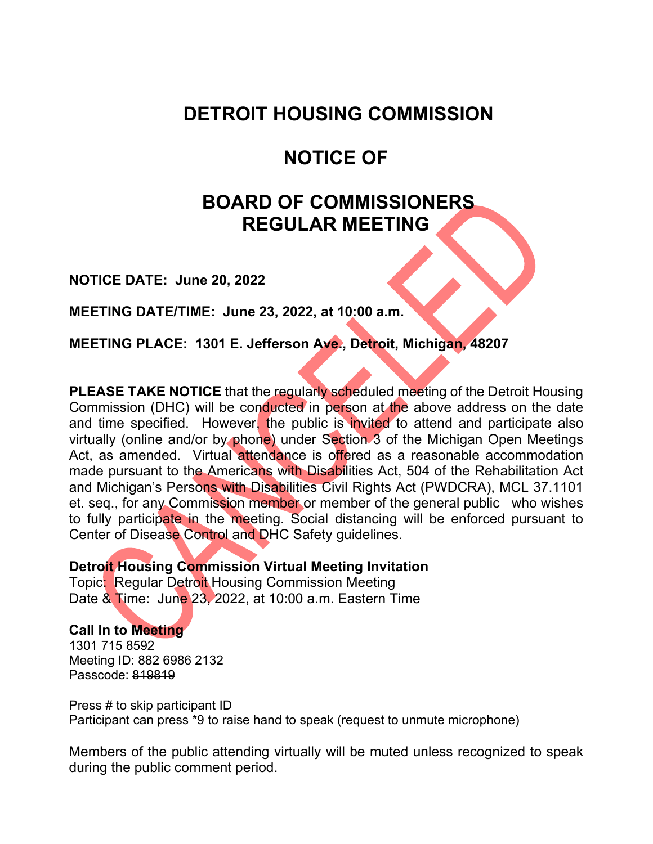### **DETROIT HOUSING COMMISSION**

## **NOTICE OF**

# **BOARD OF COMMISSIONERS REGULAR MEETING**

**NOTICE DATE: June 20, 2022**

**MEETING DATE/TIME: June 23, 2022, at 10:00 a.m.**

**MEETING PLACE: 1301 E. Jefferson Ave., Detroit, Michigan, 48207**

**PLEASE TAKE NOTICE** that the regularly scheduled meeting of the Detroit Housing Commission (DHC) will be conducted in person at the above address on the date and time specified. However, the public is invited to attend and participate also virtually (online and/or by phone) under Section 3 of the Michigan Open Meetings Act, as amended. Virtual attendance is offered as a reasonable accommodation made pursuant to the Americans with Disabilities Act, 504 of the Rehabilitation Act and Michigan's Persons with Disabilities Civil Rights Act (PWDCRA), MCL 37.1101 et. seq., for any Commission member or member of the general public who wishes to fully participate in the meeting. Social distancing will be enforced pursuant to Center of Disease Control and DHC Safety guidelines.

**Detroit Housing Commission Virtual Meeting Invitation**

Topic: Regular Detroit Housing Commission Meeting Date & Time: June 23, 2022, at 10:00 a.m. Eastern Time

**Call In to Meeting** 1301 715 8592 Meeting ID: 882 6986 2132 Passcode: 819819

Press # to skip participant ID Participant can press \*9 to raise hand to speak (request to unmute microphone)

Members of the public attending virtually will be muted unless recognized to speak during the public comment period.